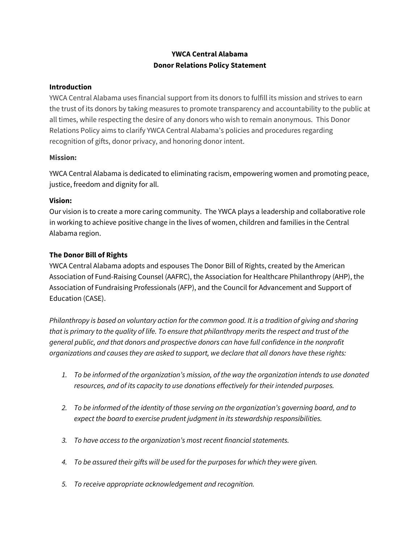# **YWCA Central Alabama Donor Relations Policy Statement**

#### **Introduction**

YWCA Central Alabama uses financial support from its donors to fulfill its mission and strives to earn the trust of its donors by taking measures to promote transparency and accountability to the public at all times, while respecting the desire of any donors who wish to remain anonymous. This Donor Relations Policy aims to clarify YWCA Central Alabama's policies and procedures regarding recognition of gifts, donor privacy, and honoring donor intent.

### **Mission:**

YWCA Central Alabama is dedicated to eliminating racism, empowering women and promoting peace, justice, freedom and dignity for all.

# **Vision:**

Our vision is to create a more caring community. The YWCA plays a leadership and collaborative role in working to achieve positive change in the lives of women, children and families in the Central Alabama region.

# **The Donor Bill of Rights**

YWCA Central Alabama adopts and espouses The Donor Bill of Rights, created by the American Association of Fund-Raising Counsel (AAFRC), the Association for Healthcare Philanthropy (AHP), the Association of Fundraising Professionals (AFP), and the Council for Advancement and Support of Education (CASE).

*Philanthropy is based on voluntary action for the common good. It is a tradition of giving and sharing that is primary to the quality of life. To ensure that philanthropy merits the respect and trust of the general public, and that donors and prospective donors can have full confidence in the nonprofit organizations and causes they are asked to support, we declare that all donors have these rights:*

- *1. To be informed of the organization's mission, of the way the organization intends to use donated resources, and of its capacity to use donations effectively for their intended purposes.*
- *2. To be informed of the identity of those serving on the organization's governing board, and to expect the board to exercise prudent judgment in its stewardship responsibilities.*
- *3. To have access to the organization's most recent financial statements.*
- *4. To be assured their gifts will be used for the purposes for which they were given.*
- *5. To receive appropriate acknowledgement and recognition.*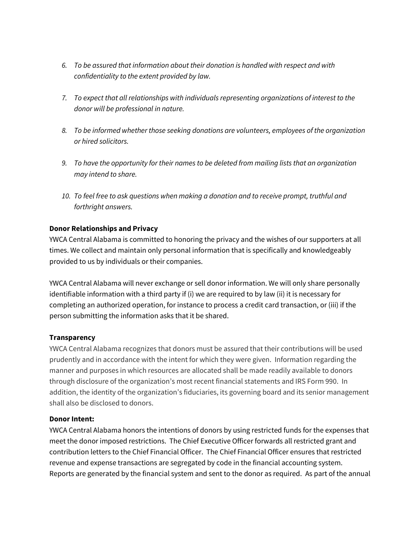- *6. To be assured that information about their donation is handled with respect and with confidentiality to the extent provided by law.*
- *7. To expect that all relationships with individuals representing organizations of interest to the donor will be professional in nature.*
- *8. To be informed whether those seeking donations are volunteers, employees of the organization or hired solicitors.*
- *9. To have the opportunity for their names to be deleted from mailing lists that an organization may intend to share.*
- *10. To feel free to ask questions when making a donation and to receive prompt, truthful and forthright answers.*

### **Donor Relationships and Privacy**

YWCA Central Alabama is committed to honoring the privacy and the wishes of our supporters at all times. We collect and maintain only personal information that is specifically and knowledgeably provided to us by individuals or their companies.

YWCA Central Alabama will never exchange or sell donor information. We will only share personally identifiable information with a third party if (i) we are required to by law (ii) it is necessary for completing an authorized operation, for instance to process a credit card transaction, or (iii) if the person submitting the information asks that it be shared.

#### **Transparency**

YWCA Central Alabama recognizes that donors must be assured that their contributions will be used prudently and in accordance with the intent for which they were given. Information regarding the manner and purposes in which resources are allocated shall be made readily available to donors through disclosure of the organization's most recent financial statements and IRS Form 990. In addition, the identity of the organization's fiduciaries, its governing board and its senior management shall also be disclosed to donors.

#### **Donor Intent:**

YWCA Central Alabama honors the intentions of donors by using restricted funds for the expenses that meet the donor imposed restrictions. The Chief Executive Officer forwards all restricted grant and contribution letters to the Chief Financial Officer. The Chief Financial Officer ensures that restricted revenue and expense transactions are segregated by code in the financial accounting system. Reports are generated by the financial system and sent to the donor as required. As part of the annual